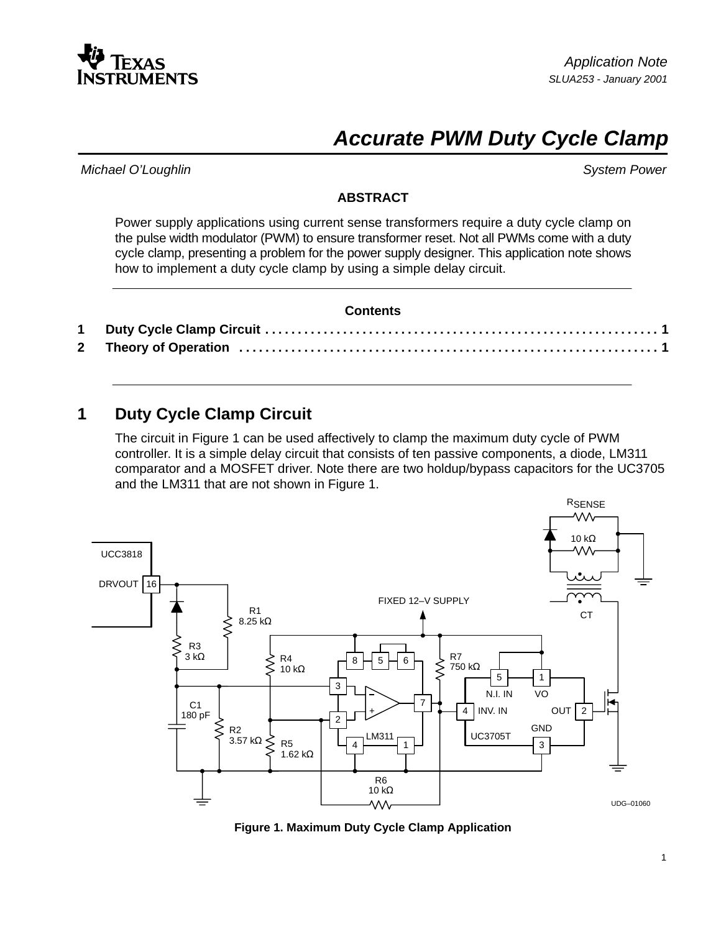

# **Accurate PWM Duty Cycle Clamp**

Michael O'Loughlin System Power

#### **ABSTRACT**

Power supply applications using current sense transformers require a duty cycle clamp on the pulse width modulator (PWM) to ensure transformer reset. Not all PWMs come with a duty cycle clamp, presenting a problem for the power supply designer. This application note shows how to implement a duty cycle clamp by using a simple delay circuit.

| <b>Contents</b> |
|-----------------|
|                 |
|                 |

## **1 Duty Cycle Clamp Circuit**

The circuit in Figure 1 can be used affectively to clamp the maximum duty cycle of PWM controller. It is a simple delay circuit that consists of ten passive components, a diode, LM311 comparator and a MOSFET driver. Note there are two holdup/bypass capacitors for the UC3705 and the LM311 that are not shown in Figure 1.



**Figure 1. Maximum Duty Cycle Clamp Application**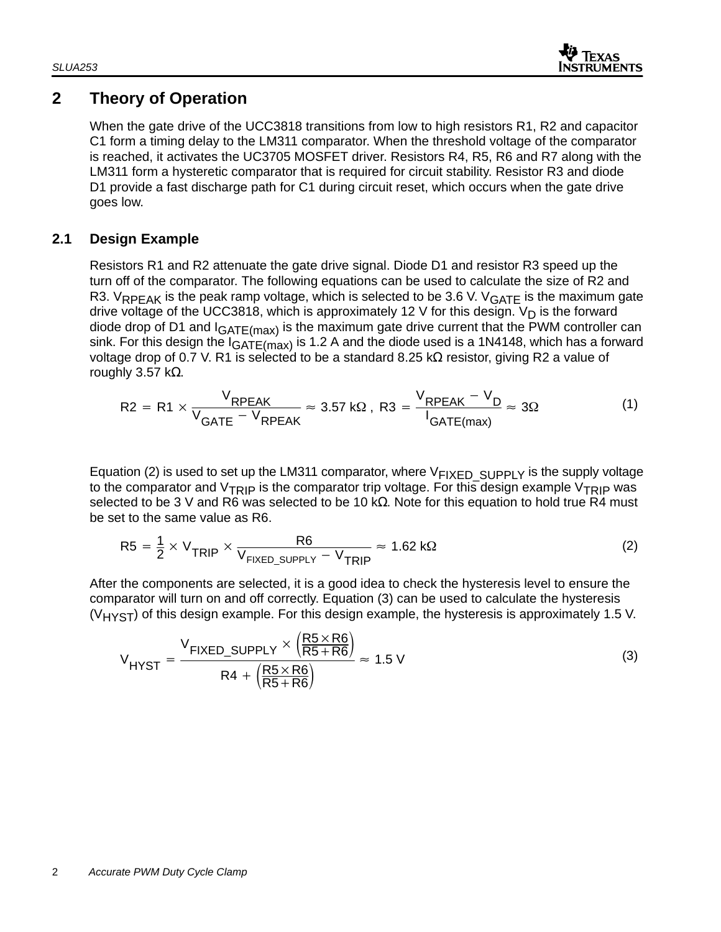

# **2 Theory of Operation**

When the gate drive of the UCC3818 transitions from low to high resistors R1, R2 and capacitor C1 form a timing delay to the LM311 comparator. When the threshold voltage of the comparator is reached, it activates the UC3705 MOSFET driver. Resistors R4, R5, R6 and R7 along with the LM311 form a hysteretic comparator that is required for circuit stability. Resistor R3 and diode D1 provide a fast discharge path for C1 during circuit reset, which occurs when the gate drive goes low.

### **2.1 Design Example**

Resistors R1 and R2 attenuate the gate drive signal. Diode D1 and resistor R3 speed up the turn off of the comparator. The following equations can be used to calculate the size of R2 and R3. VRPFAK is the peak ramp voltage, which is selected to be 3.6 V. V<sub>GATF</sub> is the maximum gate drive voltage of the UCC3818, which is approximately 12 V for this design.  $V_D$  is the forward diode drop of D1 and  $I<sub>GATE(max)</sub>$  is the maximum gate drive current that the PWM controller can sink. For this design the  $I_{GATE(max)}$  is 1.2 A and the diode used is a 1N4148, which has a forward voltage drop of 0.7 V. R1 is selected to be a standard 8.25 kΩ resistor, giving R2 a value of roughly 3.57 kΩ.

$$
R2 = R1 \times \frac{V_{RPEAK}}{V_{GATE} - V_{RPEAK}} \approx 3.57 k\Omega, R3 = \frac{V_{RPEAK} - V_D}{I_{GATE(max)}} \approx 3\Omega
$$
 (1)

Equation (2) is used to set up the LM311 comparator, where  $V_{FIXED-SUPPLY}$  is the supply voltage to the comparator and  $V_{TRIP}$  is the comparator trip voltage. For this design example  $V_{TRIP}$  was selected to be 3 V and R6 was selected to be 10 kΩ. Note for this equation to hold true R4 must be set to the same value as R6.

$$
R5 = \frac{1}{2} \times V_{TRIP} \times \frac{R6}{V_{FIXED\_SUPPLY} - V_{TRIP}} \approx 1.62 \text{ k}\Omega
$$
 (2)

After the components are selected, it is a good idea to check the hysteresis level to ensure the comparator will turn on and off correctly. Equation (3) can be used to calculate the hysteresis  $(V<sub>HYST</sub>)$  of this design example. For this design example, the hysteresis is approximately 1.5 V.

$$
V_{HYST} = \frac{V_{FIXED\_SUPPLY} \times \left(\frac{RS \times R6}{RS + R6}\right)}{R4 + \left(\frac{RS \times R6}{RS + R6}\right)} \approx 1.5 \text{ V}
$$
\n(3)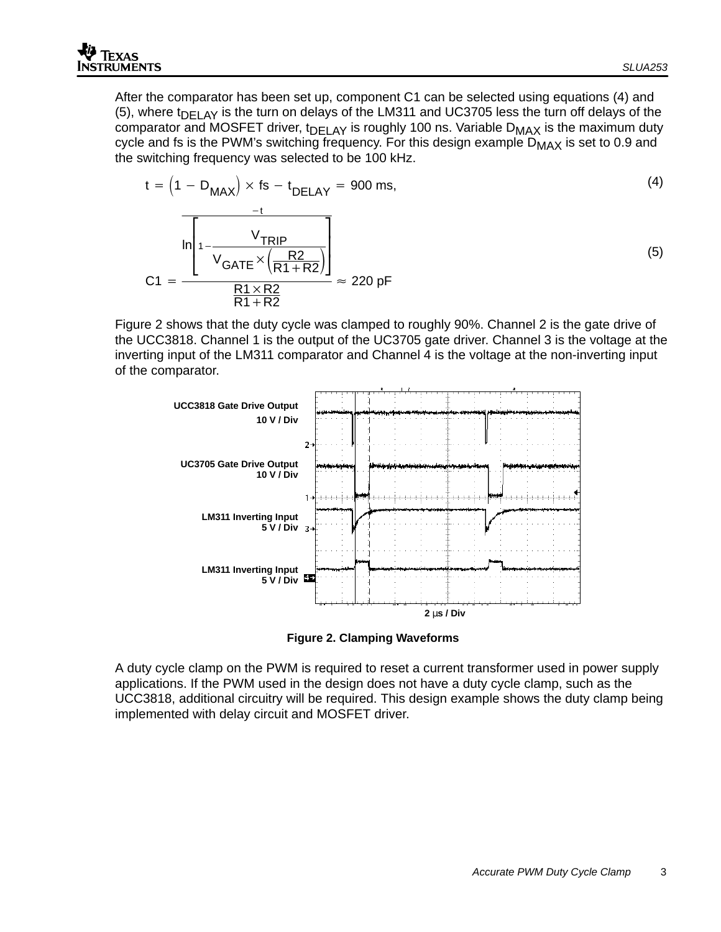$$
t = \left(1 - D_{MAX}\right) \times fs - t_{DELAY} = 900 \text{ ms},\tag{4}
$$
\n
$$
\frac{-t}{\sqrt{\frac{1}{N_{RIP}} - \frac{V_{TRIP}}{V_{GATE} \times \left(\frac{R2}{R1 + R2}\right)}}}\right] \approx 220 \text{ pF}
$$
\n
$$
C1 = \frac{\frac{R1 \times R2}{R1 + R2}}{\frac{R1 \times R2}{R1 + R2}} \approx 220 \text{ pF}
$$

Figure 2 shows that the duty cycle was clamped to roughly 90%. Channel 2 is the gate drive of the UCC3818. Channel 1 is the output of the UC3705 gate driver. Channel 3 is the voltage at the inverting input of the LM311 comparator and Channel 4 is the voltage at the non-inverting input of the comparator.



**Figure 2. Clamping Waveforms**

A duty cycle clamp on the PWM is required to reset a current transformer used in power supply applications. If the PWM used in the design does not have a duty cycle clamp, such as the UCC3818, additional circuitry will be required. This design example shows the duty clamp being implemented with delay circuit and MOSFET driver.